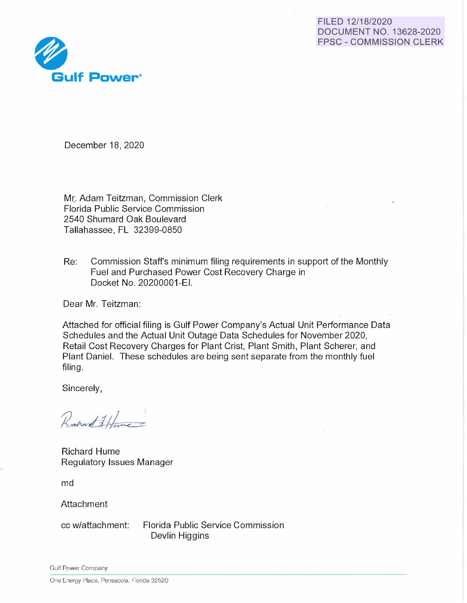# FILED 12/18/2020 DOCUMENT NO. 13628-2020 FPSC - COMMISSION CLERK



December 18, 2020

Mr. Adam Teitzman, Commission Clerk Florida Public Service Commission 2540 Shumard Oak Boulevard Tallahassee, FL 32399-0850

Re: Commission Staff's minimum filing requirements in support of the Monthly Fuel and Purchased Power Cost Recovery Charge in Docket No. 20200001 -EI.

Dear Mr. Teitzman:

Attached for official filing is Gulf Power Company's Actual Unit Performance Data Schedules and the Actual Unit Outage Data Schedules for November 2020, Retail Cost Recovery Charges for Plant Crist, Plant Smith, Plant Scherer, and Plant Daniel. These schedules are being sent separate from the monthly fuel filing.

Sincerely,

Rochert Hame

Richard Hume Regulatory Issues Manager

md

Attachment

cc w/attachment: Florida Public Service Commission Devlin Higgins

Gulf Power Company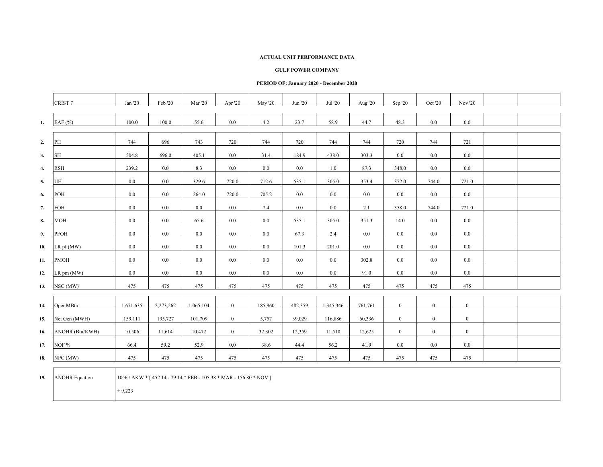#### **GULF POWER COMPANY**

### **PERIOD OF: January 2020 - December 2020**

|     | CRIST <sub>7</sub>    | Jan '20   | Feb '20                                                            | <b>Mar</b> '20 | Apr '20        | May '20 | Jun '20 | Jul '20   | Aug '20 | Sep '20          | Oct '20          | Nov '20        |  |
|-----|-----------------------|-----------|--------------------------------------------------------------------|----------------|----------------|---------|---------|-----------|---------|------------------|------------------|----------------|--|
| 1.  | EAF $(\% )$           | 100.0     | 100.0                                                              | 55.6           | $0.0\,$        | 4.2     | 23.7    | 58.9      | 44.7    | 48.3             | $0.0\,$          | $0.0\,$        |  |
| 2.  | PH                    | 744       | 696                                                                | 743            | 720            | 744     | 720     | 744       | 744     | 720              | 744              | 721            |  |
| 3.  | SH                    | 504.8     | 696.0                                                              | 405.1          | 0.0            | 31.4    | 184.9   | 438.0     | 303.3   | 0.0              | 0.0              | 0.0            |  |
| 4.  | <b>RSH</b>            | 239.2     | $0.0\,$                                                            | 8.3            | 0.0            | 0.0     | 0.0     | 1.0       | 87.3    | 348.0            | 0.0              | 0.0            |  |
| 5.  | UH                    | 0.0       | $0.0\,$                                                            | 329.6          | 720.0          | 712.6   | 535.1   | 305.0     | 353.4   | 372.0            | 744.0            | 721.0          |  |
| 6.  | POH                   | 0.0       | 0.0                                                                | 264.0          | 720.0          | 705.2   | 0.0     | 0.0       | 0.0     | $0.0\,$          | $0.0\,$          | 0.0            |  |
| 7.  | FOH                   | 0.0       | 0.0                                                                | 0.0            | $0.0\,$        | 7.4     | 0.0     | 0.0       | 2.1     | 358.0            | 744.0            | 721.0          |  |
| 8.  | <b>MOH</b>            | 0.0       | 0.0                                                                | 65.6           | 0.0            | 0.0     | 535.1   | 305.0     | 351.3   | 14.0             | 0.0              | 0.0            |  |
| 9.  | PFOH                  | 0.0       | $0.0\,$                                                            | 0.0            | 0.0            | $0.0\,$ | 67.3    | 2.4       | 0.0     | $0.0\,$          | 0.0              | $0.0\,$        |  |
| 10. | LR pf (MW)            | 0.0       | 0.0                                                                | 0.0            | 0.0            | 0.0     | 101.3   | 201.0     | 0.0     | 0.0              | 0.0              | 0.0            |  |
| 11. | <b>PMOH</b>           | 0.0       | $0.0\,$                                                            | $0.0\,$        | $0.0\,$        | 0.0     | 0.0     | 0.0       | 302.8   | 0.0              | $0.0\,$          | 0.0            |  |
| 12. | LR pm (MW)            | 0.0       | $0.0\,$                                                            | $0.0\,$        | $0.0\,$        | 0.0     | 0.0     | $0.0\,$   | 91.0    | 0.0              | 0.0              | 0.0            |  |
| 13. | NSC (MW)              | 475       | 475                                                                | 475            | 475            | 475     | 475     | 475       | 475     | 475              | 475              | 475            |  |
| 14. | Oper MBtu             | 1,671,635 | 2,273,262                                                          | 1,065,104      | $\mathbf{0}$   | 185,960 | 482,359 | 1,345,346 | 761,761 | $\overline{0}$   | $\boldsymbol{0}$ | $\mathbf{0}$   |  |
| 15. | Net Gen (MWH)         | 159,111   | 195,727                                                            | 101,709        | $\overline{0}$ | 5,757   | 39,029  | 116,886   | 60,336  | $\boldsymbol{0}$ | $\boldsymbol{0}$ | $\mathbf{0}$   |  |
| 16. | ANOHR (Btu/KWH)       | 10,506    | 11,614                                                             | 10,472         | $\overline{0}$ | 32,302  | 12,359  | 11,510    | 12,625  | $\overline{0}$   | $\boldsymbol{0}$ | $\overline{0}$ |  |
| 17. | NOF %                 | 66.4      | 59.2                                                               | 52.9           | 0.0            | 38.6    | 44.4    | 56.2      | 41.9    | 0.0              | 0.0              | 0.0            |  |
| 18. | NPC (MW)              | 475       | 475                                                                | 475            | 475            | 475     | 475     | 475       | 475     | 475              | 475              | 475            |  |
| 19. | <b>ANOHR Equation</b> | $+9,223$  | 10^6 / AKW * [452.14 - 79.14 * FEB - 105.38 * MAR - 156.80 * NOV ] |                |                |         |         |           |         |                  |                  |                |  |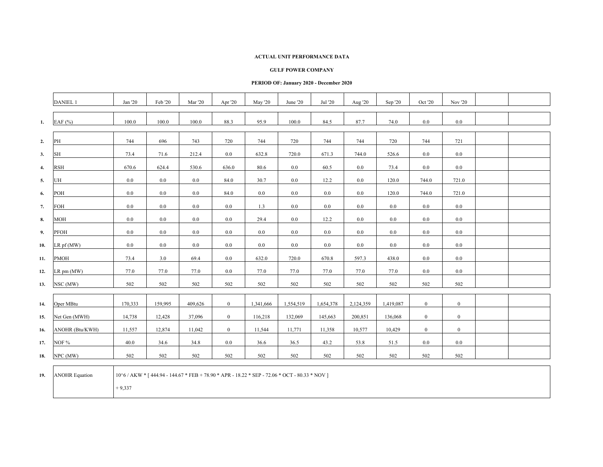#### **GULF POWER COMPANY**

### **PERIOD OF: January 2020 - December 2020**

|     | <b>DANIEL 1</b>       | Jan '20 | Feb '20 | Mar '20 | Apr '20        | May '20   | June '20                                                                                      | Jul '20   | Aug '20   | Sep '20   | Oct '20          | Nov '20        |  |
|-----|-----------------------|---------|---------|---------|----------------|-----------|-----------------------------------------------------------------------------------------------|-----------|-----------|-----------|------------------|----------------|--|
| 1.  | EAF $(%)$             | 100.0   | 100.0   | 100.0   | 88.3           | 95.9      | 100.0                                                                                         | 84.5      | 87.7      | 74.0      | 0.0              | 0.0            |  |
| 2.  | PH                    | 744     | 696     | 743     | 720            | 744       | 720                                                                                           | 744       | 744       | 720       | 744              | 721            |  |
| 3.  | SH                    | 73.4    | 71.6    | 212.4   | 0.0            | 632.8     | 720.0                                                                                         | 671.3     | 744.0     | 526.6     | 0.0              | 0.0            |  |
| 4.  | <b>RSH</b>            | 670.6   | 624.4   | 530.6   | 636.0          | 80.6      | 0.0                                                                                           | 60.5      | 0.0       | 73.4      | $0.0\,$          | $0.0\,$        |  |
| 5.  | UH                    | 0.0     | $0.0\,$ | 0.0     | 84.0           | 30.7      | 0.0                                                                                           | 12.2      | 0.0       | 120.0     | 744.0            | 721.0          |  |
| 6.  | POH                   | 0.0     | $0.0\,$ | 0.0     | 84.0           | 0.0       | 0.0                                                                                           | $0.0\,$   | 0.0       | 120.0     | 744.0            | 721.0          |  |
| 7.  | FOH                   | 0.0     | $0.0\,$ | 0.0     | 0.0            | 1.3       | 0.0                                                                                           | $0.0\,$   | 0.0       | 0.0       | 0.0              | 0.0            |  |
| 8.  | MOH                   | 0.0     | $0.0\,$ | 0.0     | 0.0            | 29.4      | 0.0                                                                                           | 12.2      | 0.0       | 0.0       | 0.0              | 0.0            |  |
| 9.  | PFOH                  | 0.0     | $0.0\,$ | 0.0     | 0.0            | 0.0       | 0.0                                                                                           | $0.0\,$   | 0.0       | $0.0\,$   | 0.0              | $0.0\,$        |  |
| 10. | $LR$ pf $(MW)$        | 0.0     | $0.0\,$ | 0.0     | 0.0            | 0.0       | 0.0                                                                                           | $0.0\,$   | 0.0       | 0.0       | 0.0              | 0.0            |  |
| 11. | <b>PMOH</b>           | 73.4    | 3.0     | 69.4    | 0.0            | 632.0     | 720.0                                                                                         | 670.8     | 597.3     | 438.0     | 0.0              | 0.0            |  |
| 12. | LR pm (MW)            | 77.0    | 77.0    | 77.0    | 0.0            | 77.0      | 77.0                                                                                          | 77.0      | 77.0      | 77.0      | 0.0              | 0.0            |  |
| 13. | NSC (MW)              | 502     | 502     | 502     | 502            | 502       | 502                                                                                           | 502       | 502       | 502       | 502              | 502            |  |
|     |                       |         |         |         |                |           |                                                                                               |           |           |           |                  |                |  |
| 14. | Oper MBtu             | 170,333 | 159,995 | 409,626 | $\overline{0}$ | 1,341,666 | 1,554,519                                                                                     | 1,654,378 | 2,124,359 | 1,419,087 | $\bf{0}$         | $\mathbf{0}$   |  |
| 15. | Net Gen (MWH)         | 14,738  | 12,428  | 37,096  | $\overline{0}$ | 116,218   | 132,069                                                                                       | 145,663   | 200,851   | 136,068   | $\mathbf{0}$     | $\overline{0}$ |  |
| 16. | ANOHR (Btu/KWH)       | 11,557  | 12,874  | 11,042  | $\mathbf{0}$   | 11,544    | 11,771                                                                                        | 11,358    | 10,577    | 10,429    | $\boldsymbol{0}$ | $\mathbf{0}$   |  |
| 17. | NOF %                 | 40.0    | 34.6    | 34.8    | 0.0            | 36.6      | 36.5                                                                                          | 43.2      | 53.8      | 51.5      | 0.0              | 0.0            |  |
| 18. | NPC (MW)              | 502     | 502     | 502     | 502            | 502       | 502                                                                                           | 502       | 502       | 502       | 502              | 502            |  |
| 19. | <b>ANOHR Equation</b> |         |         |         |                |           | 10^6 / AKW * [444.94 - 144.67 * FEB + 78.90 * APR - 18.22 * SEP - 72.06 * OCT - 80.33 * NOV ] |           |           |           |                  |                |  |

+ 9,337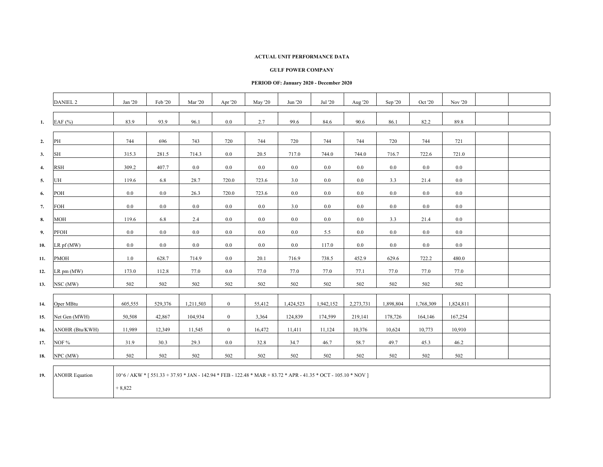#### **GULF POWER COMPANY**

### **PERIOD OF: January 2020 - December 2020**

|                  | <b>DANIEL 2</b>       | Jan '20                                                                                                                    | Feb '20 | <b>Mar</b> '20 | Apr '20        | May '20 | Jun '20   | Jul '20   | Aug '20   | Sep '20   | Oct '20   | Nov '20   |  |
|------------------|-----------------------|----------------------------------------------------------------------------------------------------------------------------|---------|----------------|----------------|---------|-----------|-----------|-----------|-----------|-----------|-----------|--|
| 1.               | EAF (%)               | 83.9                                                                                                                       | 93.9    | 96.1           | $0.0\,$        | 2.7     | 99.6      | 84.6      | 90.6      | 86.1      | 82.2      | 89.8      |  |
| 2.               | PH                    | 744                                                                                                                        | 696     | 743            | 720            | 744     | 720       | 744       | 744       | 720       | 744       | 721       |  |
| 3.               | SH                    | 315.3                                                                                                                      | 281.5   | 714.3          | 0.0            | 20.5    | 717.0     | 744.0     | 744.0     | 716.7     | 722.6     | 721.0     |  |
| $\overline{4}$ . | <b>RSH</b>            | 309.2                                                                                                                      | 407.7   | 0.0            | 0.0            | $0.0\,$ | 0.0       | $0.0\,$   | 0.0       | $0.0\,$   | 0.0       | 0.0       |  |
| 5.               | UH                    | 119.6                                                                                                                      | 6.8     | 28.7           | 720.0          | 723.6   | 3.0       | $0.0\,$   | 0.0       | 3.3       | 21.4      | $0.0\,$   |  |
| 6.               | POH                   | $0.0\,$                                                                                                                    | $0.0\,$ | 26.3           | 720.0          | 723.6   | $0.0\,$   | $0.0\,$   | 0.0       | $0.0\,$   | 0.0       | 0.0       |  |
| 7.               | FOH                   | $0.0\,$                                                                                                                    | $0.0\,$ | 0.0            | $0.0\,$        | $0.0\,$ | 3.0       | $0.0\,$   | 0.0       | $0.0\,$   | 0.0       | 0.0       |  |
| 8.               | <b>MOH</b>            | 119.6                                                                                                                      | 6.8     | 2.4            | 0.0            | 0.0     | 0.0       | $0.0\,$   | 0.0       | 3.3       | 21.4      | 0.0       |  |
| 9.               | PFOH                  | $0.0\,$                                                                                                                    | 0.0     | 0.0            | $0.0\,$        | 0.0     | $0.0\,$   | 5.5       | 0.0       | $0.0\,$   | $0.0\,$   | 0.0       |  |
| 10.              | $LR$ pf (MW)          | 0.0                                                                                                                        | 0.0     | 0.0            | $0.0\,$        | $0.0\,$ | 0.0       | 117.0     | 0.0       | $0.0\,$   | 0.0       | 0.0       |  |
| 11.              | <b>PMOH</b>           | 1.0                                                                                                                        | 628.7   | 714.9          | 0.0            | 20.1    | 716.9     | 738.5     | 452.9     | 629.6     | 722.2     | 480.0     |  |
| 12.              | LR pm (MW)            | 173.0                                                                                                                      | 112.8   | 77.0           | $0.0\,$        | 77.0    | 77.0      | 77.0      | 77.1      | 77.0      | 77.0      | 77.0      |  |
| 13.              | NSC (MW)              | 502                                                                                                                        | 502     | 502            | 502            | 502     | 502       | 502       | 502       | 502       | 502       | 502       |  |
| 14.              | Oper MBtu             | 605,555                                                                                                                    | 529,376 | 1,211,503      | $\overline{0}$ | 55,412  | 1,424,523 | 1,942,152 | 2,273,731 | 1,898,804 | 1,768,309 | 1,824,811 |  |
| 15.              | Net Gen (MWH)         | 50,508                                                                                                                     | 42,867  | 104,934        | $\overline{0}$ | 3,364   | 124,839   | 174,599   | 219,141   | 178,726   | 164,146   | 167,254   |  |
| 16.              | ANOHR (Btu/KWH)       | 11,989                                                                                                                     | 12,349  | 11,545         | $\overline{0}$ | 16,472  | 11,411    | 11,124    | 10,376    | 10,624    | 10,773    | 10,910    |  |
| 17.              | NOF %                 | 31.9                                                                                                                       | 30.3    | 29.3           | $0.0\,$        | 32.8    | 34.7      | 46.7      | 58.7      | 49.7      | 45.3      | 46.2      |  |
| 18.              | NPC (MW)              | 502                                                                                                                        | 502     | 502            | 502            | 502     | 502       | 502       | 502       | 502       | 502       | 502       |  |
| 19.              | <b>ANOHR Equation</b> | 10^6 / AKW * [ 551.33 + 37.93 * JAN - 142.94 * FEB - 122.48 * MAR + 83.72 * APR - 41.35 * OCT - 105.10 * NOV ]<br>$+8,822$ |         |                |                |         |           |           |           |           |           |           |  |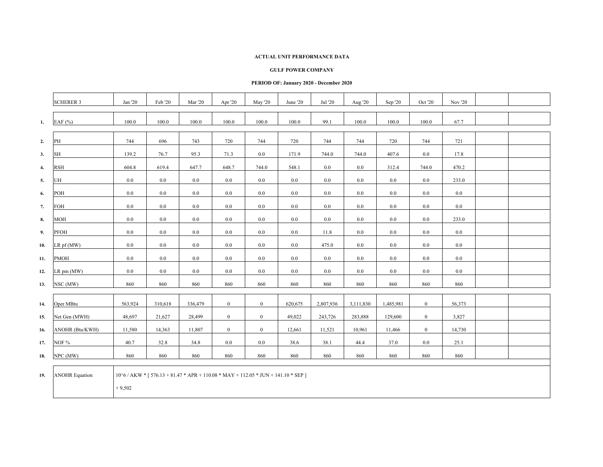#### **GULF POWER COMPANY**

### **PERIOD OF: January 2020 - December 2020**

|                  | <b>SCHERER 3</b>      | Jan '20                                                                                          | Feb '20 | <b>Mar</b> '20 | Apr '20        | May '20      | June '20 | Jul '20   | Aug '20   | Sep '20   | Oct '20          | Nov '20 |  |
|------------------|-----------------------|--------------------------------------------------------------------------------------------------|---------|----------------|----------------|--------------|----------|-----------|-----------|-----------|------------------|---------|--|
| 1.               | EAF (%)               | 100.0                                                                                            | 100.0   | 100.0          | 100.0          | 100.0        | 100.0    | 99.1      | 100.0     | 100.0     | 100.0            | 67.7    |  |
| 2.               | PH                    | 744                                                                                              | 696     | 743            | 720            | 744          | 720      | 744       | 744       | 720       | 744              | 721     |  |
| 3.               | SH                    | 139.2                                                                                            | 76.7    | 95.3           | 71.3           | 0.0          | 171.9    | 744.0     | 744.0     | 407.6     | 0.0              | 17.8    |  |
| $\overline{4}$ . | RSH                   | 604.8                                                                                            | 619.4   | 647.7          | 648.7          | 744.0        | 548.1    | $0.0\,$   | 0.0       | 312.4     | 744.0            | 470.2   |  |
| 5.               | UH                    | $0.0\,$                                                                                          | $0.0\,$ | 0.0            | $0.0\,$        | $0.0\,$      | $0.0\,$  | $0.0\,$   | 0.0       | $0.0\,$   | 0.0              | 233.0   |  |
| 6.               | POH                   | $0.0\,$                                                                                          | $0.0\,$ | 0.0            | $0.0\,$        | $0.0\,$      | $0.0\,$  | $0.0\,$   | 0.0       | $0.0\,$   | 0.0              | 0.0     |  |
| 7.               | FOH                   | 0.0                                                                                              | $0.0\,$ | 0.0            | $0.0\,$        | $0.0\,$      | 0.0      | $0.0\,$   | 0.0       | $0.0\,$   | 0.0              | 0.0     |  |
| 8.               | <b>MOH</b>            | 0.0                                                                                              | 0.0     | 0.0            | 0.0            | $0.0\,$      | 0.0      | $0.0\,$   | 0.0       | 0.0       | 0.0              | 233.0   |  |
| 9.               | PFOH                  | $0.0\,$                                                                                          | $0.0\,$ | 0.0            | $0.0\,$        | $0.0\,$      | $0.0\,$  | 11.8      | 0.0       | $0.0\,$   | $0.0\,$          | $0.0\,$ |  |
| 10.              | $LR$ pf (MW)          | 0.0                                                                                              | 0.0     | 0.0            | $0.0\,$        | $0.0\,$      | 0.0      | 475.0     | 0.0       | $0.0\,$   | 0.0              | 0.0     |  |
| 11.              | <b>PMOH</b>           | 0.0                                                                                              | $0.0\,$ | 0.0            | 0.0            | 0.0          | $0.0\,$  | $0.0\,$   | 0.0       | $0.0\,$   | 0.0              | 0.0     |  |
| 12.              | LR pm (MW)            | $0.0\,$                                                                                          | $0.0\,$ | 0.0            | $0.0\,$        | $0.0\,$      | $0.0\,$  | $0.0\,$   | 0.0       | $0.0\,$   | 0.0              | $0.0\,$ |  |
| 13.              | NSC (MW)              | 860                                                                                              | 860     | 860            | 860            | 860          | 860      | 860       | 860       | 860       | 860              | 860     |  |
| 14.              | Oper MBtu             | 563,924                                                                                          | 310,618 | 336,479        | $\mathbf{0}$   | $\mathbf{0}$ | 620,675  | 2,807,936 | 3,111,830 | 1,485,981 | $\boldsymbol{0}$ | 56,373  |  |
| 15.              | Net Gen (MWH)         | 48,697                                                                                           | 21,627  | 28,499         | $\overline{0}$ | $\mathbf{0}$ | 49,022   | 243,726   | 283,888   | 129,600   | $\mathbf{0}$     | 3,827   |  |
| 16.              | ANOHR (Btu/KWH)       | 11,580                                                                                           | 14,363  | 11,807         | $\overline{0}$ | $\mathbf{0}$ | 12,661   | 11,521    | 10,961    | 11,466    | $\mathbf{0}$     | 14,730  |  |
| 17.              | NOF %                 | 40.7                                                                                             | 32.8    | 34.8           | $0.0\,$        | $0.0\,$      | 38.6     | 38.1      | 44.4      | 37.0      | $0.0\,$          | 25.1    |  |
| 18.              | NPC (MW)              | 860                                                                                              | 860     | 860            | 860            | 860          | 860      | 860       | 860       | 860       | 860              | 860     |  |
|                  |                       |                                                                                                  |         |                |                |              |          |           |           |           |                  |         |  |
| 19.              | <b>ANOHR Equation</b> | $10^{6}/AKW$ * [ 576.13 + 81.47 * APR + 110.08 * MAY + 112.05 * JUN + 141.10 * SEP ]<br>$+9,502$ |         |                |                |              |          |           |           |           |                  |         |  |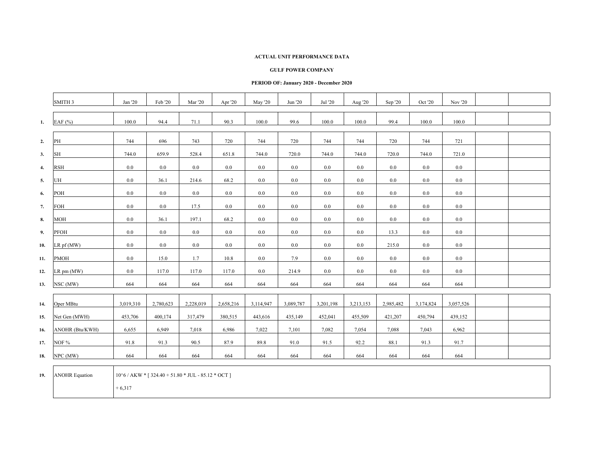#### **GULF POWER COMPANY**

### **PERIOD OF: January 2020 - December 2020**

|              | SMITH <sub>3</sub>                          | Jan '20   | Feb '20                                                                                                                                                                                                                                                                                                     | <b>Mar</b> '20 | Apr '20   | May '20   | Jun '20   | Jul '20   | Aug '20   | Sep '20   | Oct '20   | Nov '20   |  |
|--------------|---------------------------------------------|-----------|-------------------------------------------------------------------------------------------------------------------------------------------------------------------------------------------------------------------------------------------------------------------------------------------------------------|----------------|-----------|-----------|-----------|-----------|-----------|-----------|-----------|-----------|--|
|              |                                             |           |                                                                                                                                                                                                                                                                                                             |                |           |           |           |           |           |           |           |           |  |
| 1.           | EAF $(%)$                                   | 100.0     | 94.4                                                                                                                                                                                                                                                                                                        | 71.1           | 90.3      | 100.0     | 99.6      | 100.0     | 100.0     | 99.4      | 100.0     | 100.0     |  |
|              |                                             |           |                                                                                                                                                                                                                                                                                                             |                |           |           |           |           |           |           |           |           |  |
| 2.           | PH                                          | 744       | 696                                                                                                                                                                                                                                                                                                         | 743            | 720       | 744       | 720       | 744       | 744       | 720       | 744       | 721       |  |
| 3.           | SH                                          | 744.0     | 659.9                                                                                                                                                                                                                                                                                                       | 528.4          | 651.8     | 744.0     | 720.0     | 744.0     | 744.0     | 720.0     | 744.0     | 721.0     |  |
| $\mathbf{4}$ | <b>RSH</b>                                  | 0.0       | $0.0\,$                                                                                                                                                                                                                                                                                                     | 0.0            | 0.0       | 0.0       | 0.0       | $0.0\,$   | 0.0       | $0.0\,$   | 0.0       | $0.0\,$   |  |
| 5.           | UH                                          | 0.0       | 36.1                                                                                                                                                                                                                                                                                                        | 214.6          | 68.2      | $0.0\,$   | 0.0       | $0.0\,$   | 0.0       | $0.0\,$   | 0.0       | 0.0       |  |
| 6.           | POH                                         | 0.0       | 0.0                                                                                                                                                                                                                                                                                                         | 0.0            | 0.0       | $0.0\,$   | 0.0       | $0.0\,$   | 0.0       | $0.0\,$   | 0.0       | 0.0       |  |
| 7.           | FOH                                         | 0.0       | 0.0                                                                                                                                                                                                                                                                                                         | 17.5           | $0.0\,$   | $0.0\,$   | $0.0\,$   | $0.0\,$   | 0.0       | $0.0\,$   | $0.0\,$   | 0.0       |  |
| 8.           | <b>MOH</b>                                  | $0.0\,$   | 36.1                                                                                                                                                                                                                                                                                                        | 197.1          | 68.2      | $0.0\,$   | $0.0\,$   | $0.0\,$   | 0.0       | $0.0\,$   | $0.0\,$   | 0.0       |  |
| 9.           | PFOH                                        | 0.0       | $0.0\,$                                                                                                                                                                                                                                                                                                     | 0.0            | $0.0\,$   | $0.0\,$   | $0.0\,$   | $0.0\,$   | 0.0       | 13.3      | $0.0\,$   | 0.0       |  |
| 10.          | LR pf (MW)                                  | $0.0\,$   | $0.0\,$                                                                                                                                                                                                                                                                                                     | 0.0            | 0.0       | 0.0       | 0.0       | $0.0\,$   | 0.0       | 215.0     | 0.0       | $0.0\,$   |  |
| 11.          | <b>PMOH</b>                                 | 0.0       | 15.0                                                                                                                                                                                                                                                                                                        | 1.7            | 10.8      | 0.0       | 7.9       | $0.0\,$   | 0.0       | 0.0       | 0.0       | $0.0\,$   |  |
| 12.          | LR pm (MW)                                  | 0.0       | 117.0                                                                                                                                                                                                                                                                                                       | 117.0          | 117.0     | $0.0\,$   | 214.9     | $0.0\,$   | 0.0       | $0.0\,$   | $0.0\,$   | 0.0       |  |
| 13.          | NSC (MW)                                    | 664       | 664                                                                                                                                                                                                                                                                                                         | 664            | 664       | 664       | 664       | 664       | 664       | 664       | 664       | 664       |  |
|              |                                             |           |                                                                                                                                                                                                                                                                                                             |                |           |           |           |           |           |           |           |           |  |
| 14.          | Oper MBtu                                   | 3,019,310 | 2,780,623                                                                                                                                                                                                                                                                                                   | 2,228,019      | 2,658,216 | 3,114,947 | 3,089,787 | 3,201,198 | 3,213,153 | 2,985,482 | 3,174,824 | 3,057,526 |  |
| 15.          | Net Gen (MWH)                               | 453,706   | 400,174                                                                                                                                                                                                                                                                                                     | 317,479        | 380,515   | 443,616   | 435,149   | 452,041   | 455,509   | 421,207   | 450,794   | 439,152   |  |
| 16.          | ANOHR (Btu/KWH)                             | 6,655     | 6,949                                                                                                                                                                                                                                                                                                       | 7,018          | 6,986     | 7,022     | 7,101     | 7,082     | 7,054     | 7,088     | 7,043     | 6,962     |  |
| 17.          | NOF %                                       | 91.8      | 91.3                                                                                                                                                                                                                                                                                                        | 90.5           | 87.9      | 89.8      | 91.0      | 91.5      | 92.2      | 88.1      | 91.3      | 91.7      |  |
| 18.          | NPC (MW)                                    | 664       | 664                                                                                                                                                                                                                                                                                                         | 664            | 664       | 664       | 664       | 664       | 664       | 664       | 664       | 664       |  |
|              | $\overline{10}$ <b>ANOUD</b> $\overline{1}$ |           | $10\sqrt{7}$ $\sqrt{4V}$ $\sqrt{3}$ $\sqrt{2}$ $\sqrt{40}$ $\sqrt{5}$ $\sqrt{10}$ $\sqrt{8}$ $\sqrt{10}$ $\sqrt{2}$ $\sqrt{10}$ $\sqrt{2}$ $\sqrt{10}$ $\sqrt{2}$ $\sqrt{10}$ $\sqrt{2}$ $\sqrt{10}$ $\sqrt{2}$ $\sqrt{10}$ $\sqrt{2}$ $\sqrt{10}$ $\sqrt{2}$ $\sqrt{10}$ $\sqrt{2}$ $\sqrt{10}$ $\sqrt{2}$ |                |           |           |           |           |           |           |           |           |  |

**19.**ANOHR Equation 10^6 / AKW \* [ 324.40 + 51.80 \* JUL - 85.12 \* OCT ]

 $+ 6,317$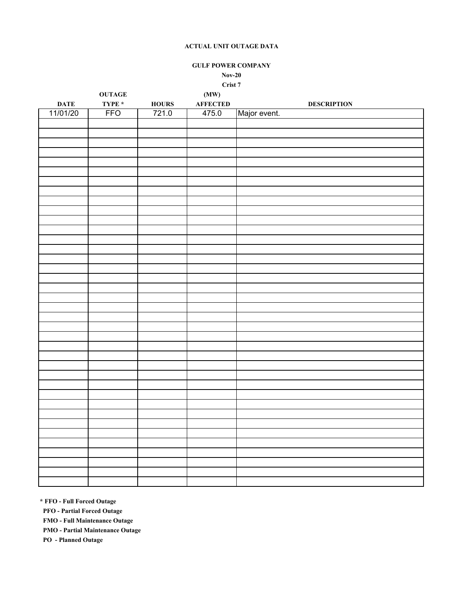## **GULF POWER COMPANY**

**Nov-20**

**Crist 7**

|                         | <b>OUTAGE</b> |              | (MW)                     |                    |
|-------------------------|---------------|--------------|--------------------------|--------------------|
|                         | TYPE $*$      | <b>HOURS</b> |                          | <b>DESCRIPTION</b> |
| <b>DATE</b><br>11/01/20 | <b>FFO</b>    | 721.0        | <b>AFFECTED</b><br>475.0 | Major event.       |
|                         |               |              |                          |                    |
|                         |               |              |                          |                    |
|                         |               |              |                          |                    |
|                         |               |              |                          |                    |
|                         |               |              |                          |                    |
|                         |               |              |                          |                    |
|                         |               |              |                          |                    |
|                         |               |              |                          |                    |
|                         |               |              |                          |                    |
|                         |               |              |                          |                    |
|                         |               |              |                          |                    |
|                         |               |              |                          |                    |
|                         |               |              |                          |                    |
|                         |               |              |                          |                    |
|                         |               |              |                          |                    |
|                         |               |              |                          |                    |
|                         |               |              |                          |                    |
|                         |               |              |                          |                    |
|                         |               |              |                          |                    |
|                         |               |              |                          |                    |
|                         |               |              |                          |                    |
|                         |               |              |                          |                    |
|                         |               |              |                          |                    |
|                         |               |              |                          |                    |
|                         |               |              |                          |                    |
|                         |               |              |                          |                    |
|                         |               |              |                          |                    |
|                         |               |              |                          |                    |
|                         |               |              |                          |                    |
|                         |               |              |                          |                    |
|                         |               |              |                          |                    |
|                         |               |              |                          |                    |
|                         |               |              |                          |                    |
|                         |               |              |                          |                    |
|                         |               |              |                          |                    |
|                         |               |              |                          |                    |
|                         |               |              |                          |                    |
|                         |               |              |                          |                    |
|                         |               |              |                          |                    |
|                         |               |              |                          |                    |

**\* FFO - Full Forced Outage**

 **PFO - Partial Forced Outage**

 **FMO - Full Maintenance Outage**

 **PMO - Partial Maintenance Outage**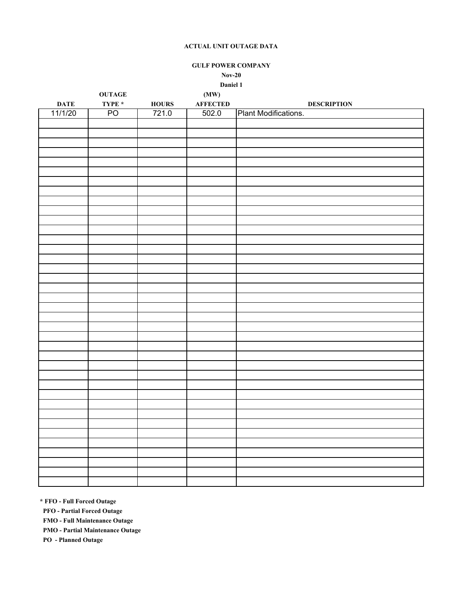**GULF POWER COMPANY Nov-20**

**Daniel 1**

| <b>AFFECTED</b><br>TYPE *<br><b>DATE</b><br><b>HOURS</b><br><b>DESCRIPTION</b><br>PO <sub>1</sub><br>Plant Modifications.<br>11/1/20<br>721.0<br>502.0 | <b>OUTAGE</b> | (MW) |  |
|--------------------------------------------------------------------------------------------------------------------------------------------------------|---------------|------|--|
|                                                                                                                                                        |               |      |  |
|                                                                                                                                                        |               |      |  |
|                                                                                                                                                        |               |      |  |
|                                                                                                                                                        |               |      |  |
|                                                                                                                                                        |               |      |  |
|                                                                                                                                                        |               |      |  |
|                                                                                                                                                        |               |      |  |
|                                                                                                                                                        |               |      |  |
|                                                                                                                                                        |               |      |  |
|                                                                                                                                                        |               |      |  |
|                                                                                                                                                        |               |      |  |
|                                                                                                                                                        |               |      |  |
|                                                                                                                                                        |               |      |  |
|                                                                                                                                                        |               |      |  |
|                                                                                                                                                        |               |      |  |
|                                                                                                                                                        |               |      |  |
|                                                                                                                                                        |               |      |  |
|                                                                                                                                                        |               |      |  |
|                                                                                                                                                        |               |      |  |
|                                                                                                                                                        |               |      |  |
|                                                                                                                                                        |               |      |  |
|                                                                                                                                                        |               |      |  |
|                                                                                                                                                        |               |      |  |
|                                                                                                                                                        |               |      |  |
|                                                                                                                                                        |               |      |  |
|                                                                                                                                                        |               |      |  |
|                                                                                                                                                        |               |      |  |
|                                                                                                                                                        |               |      |  |
|                                                                                                                                                        |               |      |  |
|                                                                                                                                                        |               |      |  |
|                                                                                                                                                        |               |      |  |
|                                                                                                                                                        |               |      |  |
|                                                                                                                                                        |               |      |  |
|                                                                                                                                                        |               |      |  |
|                                                                                                                                                        |               |      |  |
|                                                                                                                                                        |               |      |  |
|                                                                                                                                                        |               |      |  |
|                                                                                                                                                        |               |      |  |
|                                                                                                                                                        |               |      |  |
|                                                                                                                                                        |               |      |  |

**\* FFO - Full Forced Outage**

 **PFO - Partial Forced Outage**

 **FMO - Full Maintenance Outage**

 **PMO - Partial Maintenance Outage**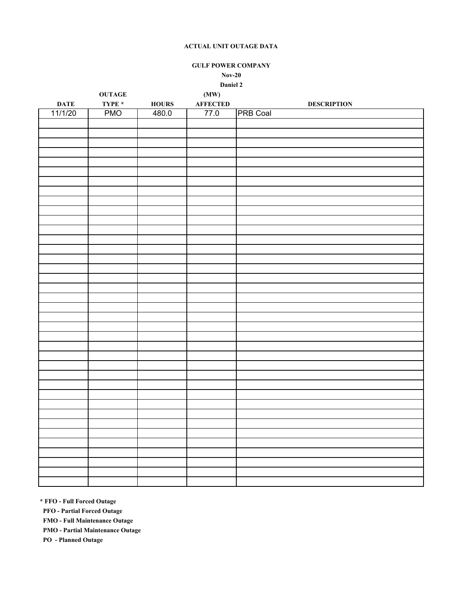**GULF POWER COMPANY Nov-20**

**Daniel 2**

|             | <b>OUTAGE</b> |              | (MW)            |                    |
|-------------|---------------|--------------|-----------------|--------------------|
| <b>DATE</b> | TYPE $*$      | <b>HOURS</b> | <b>AFFECTED</b> | <b>DESCRIPTION</b> |
| 11/1/20     | <b>PMO</b>    | 480.0        | 77.0            | <b>PRB Coal</b>    |
|             |               |              |                 |                    |
|             |               |              |                 |                    |
|             |               |              |                 |                    |
|             |               |              |                 |                    |
|             |               |              |                 |                    |
|             |               |              |                 |                    |
|             |               |              |                 |                    |
|             |               |              |                 |                    |
|             |               |              |                 |                    |
|             |               |              |                 |                    |
|             |               |              |                 |                    |
|             |               |              |                 |                    |
|             |               |              |                 |                    |
|             |               |              |                 |                    |
|             |               |              |                 |                    |
|             |               |              |                 |                    |
|             |               |              |                 |                    |
|             |               |              |                 |                    |
|             |               |              |                 |                    |
|             |               |              |                 |                    |
|             |               |              |                 |                    |
|             |               |              |                 |                    |
|             |               |              |                 |                    |
|             |               |              |                 |                    |
|             |               |              |                 |                    |
|             |               |              |                 |                    |
|             |               |              |                 |                    |
|             |               |              |                 |                    |
|             |               |              |                 |                    |
|             |               |              |                 |                    |
|             |               |              |                 |                    |
|             |               |              |                 |                    |
|             |               |              |                 |                    |
|             |               |              |                 |                    |
|             |               |              |                 |                    |
|             |               |              |                 |                    |
|             |               |              |                 |                    |
|             |               |              |                 |                    |
|             |               |              |                 |                    |
|             |               |              |                 |                    |

**\* FFO - Full Forced Outage**

 **PFO - Partial Forced Outage**

 **FMO - Full Maintenance Outage**

 **PMO - Partial Maintenance Outage**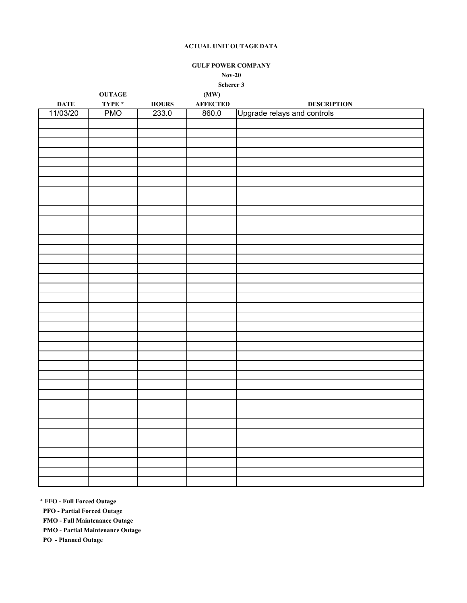## **GULF POWER COMPANY**

**Nov-20**

**Scherer 3**

|             | <b>OUTAGE</b> |              | (MW)            |                             |
|-------------|---------------|--------------|-----------------|-----------------------------|
| <b>DATE</b> | TYPE $*$      | <b>HOURS</b> | <b>AFFECTED</b> | <b>DESCRIPTION</b>          |
| 11/03/20    | <b>PMO</b>    | 233.0        | 860.0           | Upgrade relays and controls |
|             |               |              |                 |                             |
|             |               |              |                 |                             |
|             |               |              |                 |                             |
|             |               |              |                 |                             |
|             |               |              |                 |                             |
|             |               |              |                 |                             |
|             |               |              |                 |                             |
|             |               |              |                 |                             |
|             |               |              |                 |                             |
|             |               |              |                 |                             |
|             |               |              |                 |                             |
|             |               |              |                 |                             |
|             |               |              |                 |                             |
|             |               |              |                 |                             |
|             |               |              |                 |                             |
|             |               |              |                 |                             |
|             |               |              |                 |                             |
|             |               |              |                 |                             |
|             |               |              |                 |                             |
|             |               |              |                 |                             |
|             |               |              |                 |                             |
|             |               |              |                 |                             |
|             |               |              |                 |                             |
|             |               |              |                 |                             |
|             |               |              |                 |                             |
|             |               |              |                 |                             |
|             |               |              |                 |                             |
|             |               |              |                 |                             |
|             |               |              |                 |                             |
|             |               |              |                 |                             |
|             |               |              |                 |                             |
|             |               |              |                 |                             |
|             |               |              |                 |                             |
|             |               |              |                 |                             |
|             |               |              |                 |                             |
|             |               |              |                 |                             |
|             |               |              |                 |                             |
|             |               |              |                 |                             |

**\* FFO - Full Forced Outage**

 **PFO - Partial Forced Outage**

 **FMO - Full Maintenance Outage**

 **PMO - Partial Maintenance Outage**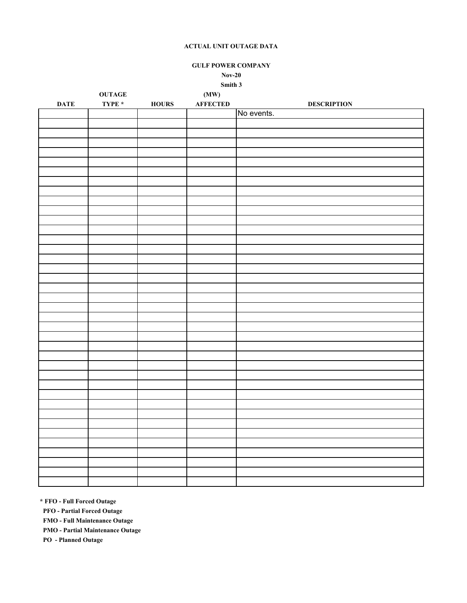## **GULF POWER COMPANY Nov-20**

**Smith 3**

|             | $\bf OUTAGE$ |              | (MW)            |                    |
|-------------|--------------|--------------|-----------------|--------------------|
| <b>DATE</b> | TYPE $*$     | <b>HOURS</b> | <b>AFFECTED</b> | <b>DESCRIPTION</b> |
|             |              |              |                 | No events.         |
|             |              |              |                 |                    |
|             |              |              |                 |                    |
|             |              |              |                 |                    |
|             |              |              |                 |                    |
|             |              |              |                 |                    |
|             |              |              |                 |                    |
|             |              |              |                 |                    |
|             |              |              |                 |                    |
|             |              |              |                 |                    |
|             |              |              |                 |                    |
|             |              |              |                 |                    |
|             |              |              |                 |                    |
|             |              |              |                 |                    |
|             |              |              |                 |                    |
|             |              |              |                 |                    |
|             |              |              |                 |                    |
|             |              |              |                 |                    |
|             |              |              |                 |                    |
|             |              |              |                 |                    |
|             |              |              |                 |                    |
|             |              |              |                 |                    |
|             |              |              |                 |                    |
|             |              |              |                 |                    |
|             |              |              |                 |                    |
|             |              |              |                 |                    |
|             |              |              |                 |                    |
|             |              |              |                 |                    |
|             |              |              |                 |                    |
|             |              |              |                 |                    |
|             |              |              |                 |                    |
|             |              |              |                 |                    |
|             |              |              |                 |                    |
|             |              |              |                 |                    |
|             |              |              |                 |                    |
|             |              |              |                 |                    |
|             |              |              |                 |                    |
|             |              |              |                 |                    |
|             |              |              |                 |                    |
|             |              |              |                 |                    |
|             |              |              |                 |                    |

**\* FFO - Full Forced Outage**

 **PFO - Partial Forced Outage**

 **FMO - Full Maintenance Outage**

 **PMO - Partial Maintenance Outage**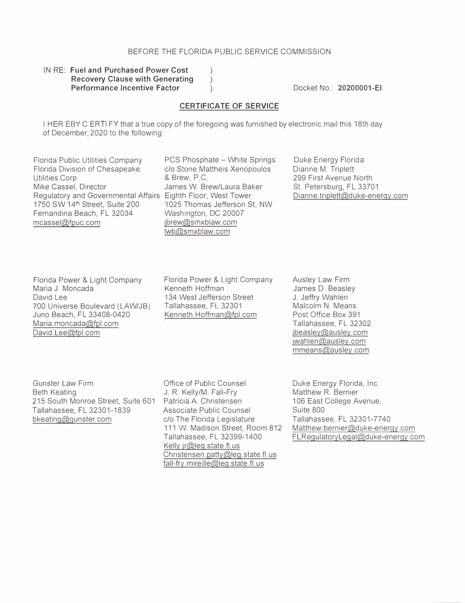## BEFORE THE FLORIDA PUBLIC SERVICE COMMISSION

## IN RE: **Fuel and Purchased Power Cost Recovery Clause with Generating Performance Incentive Factor**

Docket No.: **20200001-EI** 

### **CERTIFICATE OF SERVICE**

I HER EBY C ERTi FY that a true copy of the foregoing was furnished by electronic mail this 18th day of December, 2020 to the following:

Florida Public Utilities Company Florida Division of Chesapeake Utilities Corp Mike Cassel, Director Regulatory and Governmental Affairs Eighth Floor, West Tower 1750 SW 14<sup>th</sup> Street, Suite 200 Fernandina Beach, FL 32034 mcassel@fpuc.com

PCS Phosphate - White Springs c/o Stone Mattheis Xenopoulos & Brew, P.C. James W. Brew/Laura Baker 1025 Thomas Jefferson St, NW Washington, DC 20007 jbrew@smxblaw.com lwb@smxblaw.com

Duke Energy Florida Dianne M. Triplett 299 First Avenue North St. Petersburg, FL 33701 Dianne. triplett@duke-energy.com

Florida Power & Light Company Maria J. Moncada David Lee 700 Universe Boulevard (LAW/JB) Juno Beach, FL 33408-0420 Maria.moncada@fpl.com David. Lee@fpl.com

Florida Power & Light Company Kenneth Hoffman 134 West Jefferson Street Tallahassee, FL 32301 Kenneth.Hoffman@fpl.com

Ausley Law Firm James D. Beasley J. Jeffry Wahlen Malcolm N. Means Post Office Box 391 Tallahassee, FL 32302 jbeasley@ausley.com jwahlen@ausley.com mmeans@ausley.com

Gunster Law Firm Beth Keating 215 South Monroe Street, Suite 601 Patricia A. Christensen Tallahassee, FL 32301-1839 bkeating@gunster.com

Office of Public Counsel J. R. Kelly/M. Fall-Fry Associate Public Counsel *clo* The Florida Legislature 111 W. Madison Street, Room 812 Tallahassee, FL 32399-1400 Kelly. jr@leg. state.fl. us Christensen.patty@leg.state.fl.us fall-fry. mireille@leg.state. fl. us

Duke Energy Florida, Inc. Matthew R. Bernier 106 East College Avenue, Suite 800 Tallahassee, FL 32301-7740 Matthew.bernier@duke-energy.com FLRegulatoryLegal@duke-energy.com